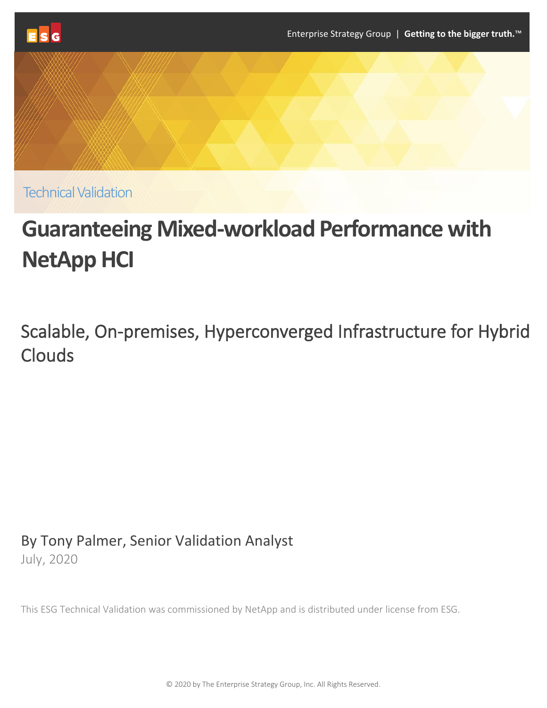

**Technical Validation** 

# **Guaranteeing Mixed-workload Performance with NetApp HCI**

Scalable, On-premises, Hyperconverged Infrastructure for Hybrid Clouds

By Tony Palmer, Senior Validation Analyst July, 2020

This ESG Technical Validation was commissioned by NetApp and is distributed under license from ESG.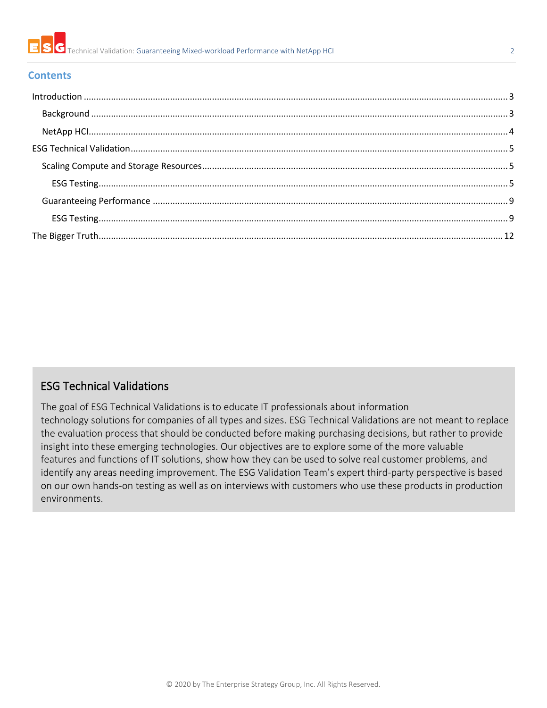

#### **Contents**

# ESG Technical Validations

The goal of ESG Technical Validations is to educate IT professionals about information technology solutions for companies of all types and sizes. ESG Technical Validations are not meant to replace the evaluation process that should be conducted before making purchasing decisions, but rather to provide insight into these emerging technologies. Our objectives are to explore some of the more valuable features and functions of IT solutions, show how they can be used to solve real customer problems, and identify any areas needing improvement. The ESG Validation Team's expert third-party perspective is based on our own hands-on testing as well as on interviews with customers who use these products in production environments.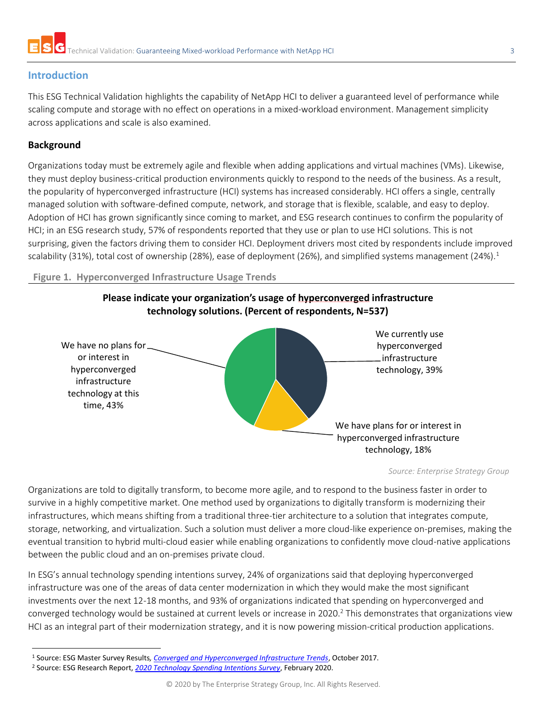

# <span id="page-2-0"></span>**Introduction**

This ESG Technical Validation highlights the capability of NetApp HCI to deliver a guaranteed level of performance while scaling compute and storage with no effect on operations in a mixed-workload environment. Management simplicity across applications and scale is also examined.

#### <span id="page-2-1"></span>**Background**

Organizations today must be extremely agile and flexible when adding applications and virtual machines (VMs). Likewise, they must deploy business-critical production environments quickly to respond to the needs of the business. As a result, the popularity of hyperconverged infrastructure (HCI) systems has increased considerably. HCI offers a single, centrally managed solution with software-defined compute, network, and storage that is flexible, scalable, and easy to deploy. Adoption of HCI has grown significantly since coming to market, and ESG research continues to confirm the popularity of HCI; in an ESG research study, 57% of respondents reported that they use or plan to use HCI solutions. This is not surprising, given the factors driving them to consider HCI. Deployment drivers most cited by respondents include improved scalability (31%), total cost of ownership (28%), ease of deployment (26%), and simplified systems management (24%).<sup>1</sup>

**Figure 1. Hyperconverged Infrastructure Usage Trends**



*Source: Enterprise Strategy Group*

Organizations are told to digitally transform, to become more agile, and to respond to the business faster in order to survive in a highly competitive market. One method used by organizations to digitally transform is modernizing their infrastructures, which means shifting from a traditional three-tier architecture to a solution that integrates compute, storage, networking, and virtualization. Such a solution must deliver a more cloud-like experience on-premises, making the eventual transition to hybrid multi-cloud easier while enabling organizations to confidently move cloud-native applications between the public cloud and an on-premises private cloud.

In ESG's annual technology spending intentions survey, 24% of organizations said that deploying hyperconverged infrastructure was one of the areas of data center modernization in which they would make the most significant investments over the next 12-18 months, and 93% of organizations indicated that spending on hyperconverged and converged technology would be sustained at current levels or increase in 2020.<sup>2</sup> This demonstrates that organizations view HCI as an integral part of their modernization strategy, and it is now powering mission-critical production applications.

<sup>1</sup> Source: ESG Master Survey Results*[, Converged and Hyperconverged Infrastructure Trends](https://research.esg-global.com/reportaction/convergedhyperconvergedtrends/Toc)*, October 2017.

<sup>2</sup> Source: ESG Research Report, *[2020 Technology Spending Intentions Survey](https://research.esg-global.com/reportaction/2020TechnologySpendingIntentions/Toc)*, February 2020.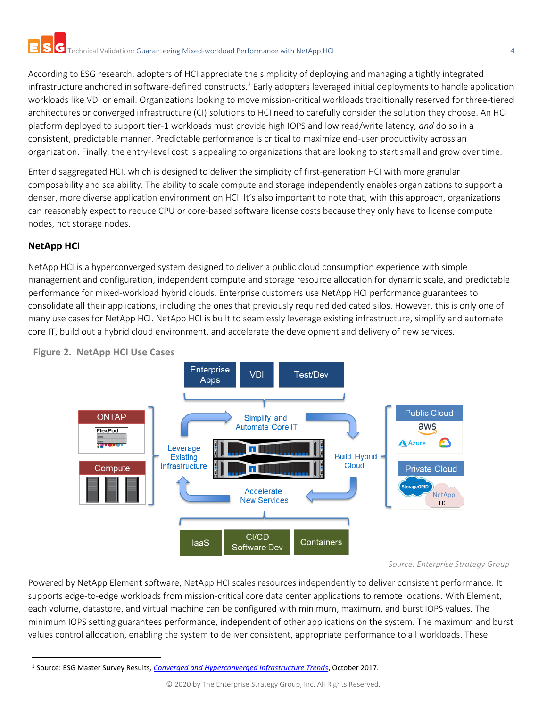According to ESG research, adopters of HCI appreciate the simplicity of deploying and managing a tightly integrated infrastructure anchored in software-defined constructs.<sup>3</sup> Early adopters leveraged initial deployments to handle application workloads like VDI or email. Organizations looking to move mission-critical workloads traditionally reserved for three-tiered architectures or converged infrastructure (CI) solutions to HCI need to carefully consider the solution they choose. An HCI platform deployed to support tier-1 workloads must provide high IOPS and low read/write latency, *and* do so in a consistent, predictable manner. Predictable performance is critical to maximize end-user productivity across an organization. Finally, the entry-level cost is appealing to organizations that are looking to start small and grow over time.

Enter disaggregated HCI, which is designed to deliver the simplicity of first-generation HCI with more granular composability and scalability. The ability to scale compute and storage independently enables organizations to support a denser, more diverse application environment on HCI. It's also important to note that, with this approach, organizations can reasonably expect to reduce CPU or core-based software license costs because they only have to license compute nodes, not storage nodes.

# <span id="page-3-0"></span>**NetApp HCI**

NetApp HCI is a hyperconverged system designed to deliver a public cloud consumption experience with simple management and configuration, independent compute and storage resource allocation for dynamic scale, and predictable performance for mixed-workload hybrid clouds. Enterprise customers use NetApp HCI performance guarantees to consolidate all their applications, including the ones that previously required dedicated silos. However, this is only one of many use cases for NetApp HCI. NetApp HCI is built to seamlessly leverage existing infrastructure, simplify and automate core IT, build out a hybrid cloud environment, and accelerate the development and delivery of new services.





*Source: Enterprise Strategy Group*

Powered by NetApp Element software, NetApp HCI scales resources independently to deliver consistent performance. It supports edge-to-edge workloads from mission-critical core data center applications to remote locations. With Element, each volume, datastore, and virtual machine can be configured with minimum, maximum, and burst IOPS values. The minimum IOPS setting guarantees performance, independent of other applications on the system. The maximum and burst values control allocation, enabling the system to deliver consistent, appropriate performance to all workloads. These

<sup>3</sup> Source: ESG Master Survey Results*[, Converged and Hyperconverged Infrastructure Trends](https://research.esg-global.com/reportaction/convergedhyperconvergedtrends/Toc)*, October 2017.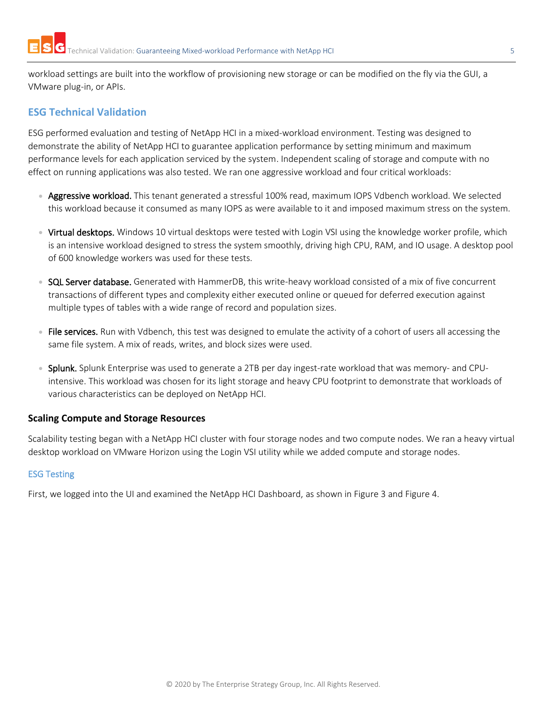workload settings are built into the workflow of provisioning new storage or can be modified on the fly via the GUI, a VMware plug-in, or APIs.

# <span id="page-4-0"></span>**ESG Technical Validation**

ESG performed evaluation and testing of NetApp HCI in a mixed-workload environment. Testing was designed to demonstrate the ability of NetApp HCI to guarantee application performance by setting minimum and maximum performance levels for each application serviced by the system. Independent scaling of storage and compute with no effect on running applications was also tested. We ran one aggressive workload and four critical workloads:

- Aggressive workload. This tenant generated a stressful 100% read, maximum IOPS Vdbench workload. We selected this workload because it consumed as many IOPS as were available to it and imposed maximum stress on the system.
- Virtual desktops. Windows 10 virtual desktops were tested with Login VSI using the knowledge worker profile, which is an intensive workload designed to stress the system smoothly, driving high CPU, RAM, and IO usage. A desktop pool of 600 knowledge workers was used for these tests.
- SQL Server database. Generated with HammerDB, this write-heavy workload consisted of a mix of five concurrent transactions of different types and complexity either executed online or queued for deferred execution against multiple types of tables with a wide range of record and population sizes.
- File services. Run with Vdbench, this test was designed to emulate the activity of a cohort of users all accessing the same file system. A mix of reads, writes, and block sizes were used.
- Splunk. Splunk Enterprise was used to generate a 2TB per day ingest-rate workload that was memory- and CPUintensive. This workload was chosen for its light storage and heavy CPU footprint to demonstrate that workloads of various characteristics can be deployed on NetApp HCI.

## <span id="page-4-1"></span>**Scaling Compute and Storage Resources**

Scalability testing began with a NetApp HCI cluster with four storage nodes and two compute nodes. We ran a heavy virtual desktop workload on VMware Horizon using the Login VSI utility while we added compute and storage nodes.

#### <span id="page-4-2"></span>ESG Testing

First, we logged into the UI and examined the NetApp HCI Dashboard, as shown in [Figure 3](#page-5-0) an[d Figure 4.](#page-5-1)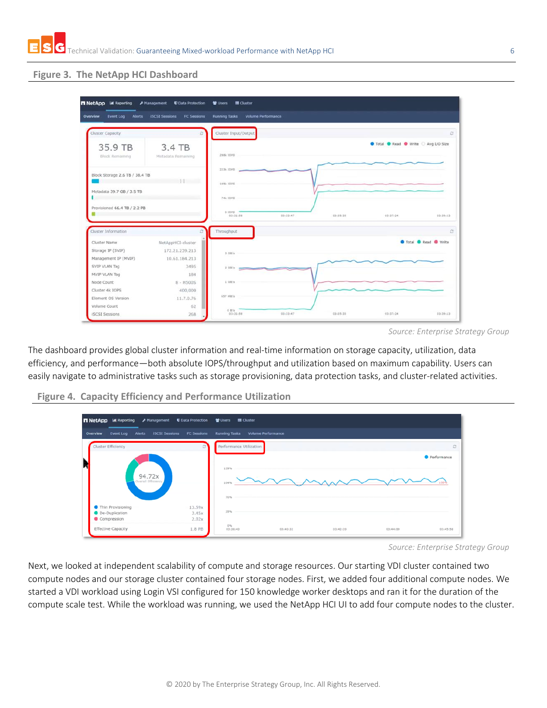## <span id="page-5-0"></span>**Figure 3. The NetApp HCI Dashboard**

| Cluster Capacity                                                                                                                                                   | c                            | Cluster Input/Output |          |          |                                       | ø                             |
|--------------------------------------------------------------------------------------------------------------------------------------------------------------------|------------------------------|----------------------|----------|----------|---------------------------------------|-------------------------------|
|                                                                                                                                                                    |                              |                      |          |          | O Total O Read O Write C Avg I/O Size |                               |
| 35.9 TB<br>Block Remaining                                                                                                                                         | 3.4 TB<br>Metadata Remaining | 298k 10PS            |          |          |                                       |                               |
|                                                                                                                                                                    |                              | 223k 10PS            |          |          |                                       |                               |
| Block Storage 2.6 TB / 38.4 TB                                                                                                                                     |                              | 149k 10PS            |          |          |                                       |                               |
| Metadata 39.7 GB / 3.5 TB                                                                                                                                          |                              | 74k 10PS             |          |          |                                       |                               |
| Provisioned 66.4 TB / 2.2 PB                                                                                                                                       |                              | 0.10 PS              |          |          |                                       |                               |
|                                                                                                                                                                    |                              | 03(31) 58            | 03.33.47 | 03.35.35 | 03137124                              | 03:39:13                      |
| Cluster Information                                                                                                                                                | ٥                            | Throughput           |          |          |                                       | $\sigma$                      |
|                                                                                                                                                                    | NetAppHCI-cluster            |                      |          |          |                                       | <b>O</b> Total C Read O Write |
|                                                                                                                                                                    |                              |                      |          |          |                                       |                               |
|                                                                                                                                                                    | 172.21.239.213               | 3.08/s               |          |          |                                       |                               |
|                                                                                                                                                                    | 10.61.184.213                |                      |          |          |                                       |                               |
|                                                                                                                                                                    | 3495                         | 2.68/x               |          |          |                                       |                               |
|                                                                                                                                                                    | 184                          |                      |          |          |                                       |                               |
|                                                                                                                                                                    | $8 - H500S$                  | 1.08/s               |          |          |                                       |                               |
|                                                                                                                                                                    | 400,000                      |                      |          |          |                                       |                               |
|                                                                                                                                                                    | 11.7.0.76                    | 657 MB/s             |          |          |                                       |                               |
| Cluster Name<br>Storage IP (SVIP)<br>Management IP (MVIP)<br>SVIP VLAN Tag<br>MVIP VLAN Tag<br>Node Count<br>Cluster 4k IOPS<br>Element OS Version<br>Volume Count | 62                           | $0.8/\nu$            |          |          |                                       |                               |

The dashboard provides global cluster information and real-time information on storage capacity, utilization, data efficiency, and performance—both absolute IOPS/throughput and utilization based on maximum capability. Users can easily navigate to administrative tasks such as storage provisioning, data protection tasks, and cluster-related activities.



<span id="page-5-1"></span>**Figure 4. Capacity Efficiency and Performance Utilization** 

*Source: Enterprise Strategy Group*

Next, we looked at independent scalability of compute and storage resources. Our starting VDI cluster contained two compute nodes and our storage cluster contained four storage nodes. First, we added four additional compute nodes. We started a VDI workload using Login VSI configured for 150 knowledge worker desktops and ran it for the duration of the compute scale test. While the workload was running, we used the NetApp HCI UI to add four compute nodes to the cluster.

*Source: Enterprise Strategy Group*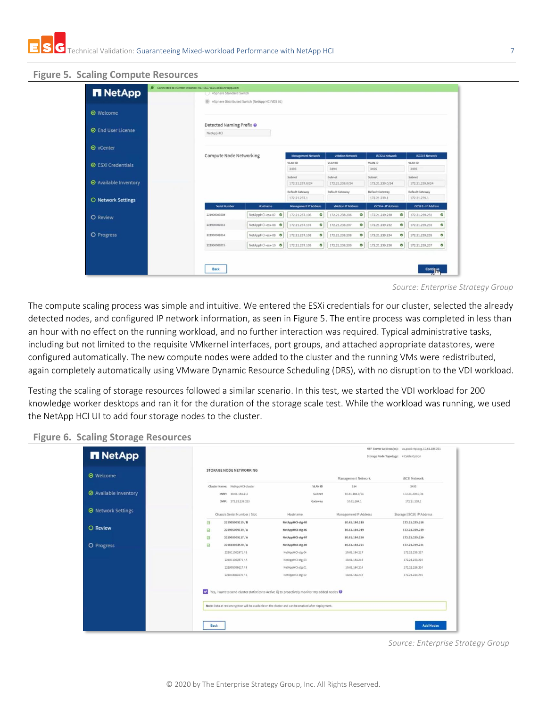<span id="page-6-0"></span>

|                           |                         |                                                |                                              |                             | <b>Colla VSphere Standard Switch</b> |                             |  |  |  |  |  |  |
|---------------------------|-------------------------|------------------------------------------------|----------------------------------------------|-----------------------------|--------------------------------------|-----------------------------|--|--|--|--|--|--|
|                           | (6)                     | vSphere Distributed Switch (NetApp HCI VDS 01) |                                              |                             |                                      |                             |  |  |  |  |  |  |
|                           |                         |                                                |                                              |                             |                                      |                             |  |  |  |  |  |  |
|                           |                         |                                                |                                              |                             |                                      |                             |  |  |  |  |  |  |
|                           |                         |                                                |                                              |                             |                                      |                             |  |  |  |  |  |  |
|                           |                         |                                                |                                              |                             |                                      |                             |  |  |  |  |  |  |
|                           |                         |                                                |                                              |                             |                                      |                             |  |  |  |  |  |  |
|                           | Compute Node Networking |                                                | <b>Management Network</b><br>vMotion Network |                             | <b>ISCSI A Network</b>               | <b>ISCSI B Network</b>      |  |  |  |  |  |  |
|                           |                         |                                                | VLAN ID                                      | VLAN ID                     | VLAN ID                              | VLAN ID                     |  |  |  |  |  |  |
| <b>◎ ESXi Credentials</b> |                         |                                                |                                              | 3494                        | 3495                                 | 3495                        |  |  |  |  |  |  |
|                           |                         |                                                | Subnet                                       | Subnet                      | Subnet                               | Subnet                      |  |  |  |  |  |  |
|                           |                         |                                                | 172.21.237.0/24                              | 172,21,238,0/24             | 172, 21, 239, 0/24                   | 172.21.239.0/24             |  |  |  |  |  |  |
|                           |                         |                                                | <b>Default Gateway</b>                       | Default Gateway             | <b>Default Gateway</b>               | Default Gateway             |  |  |  |  |  |  |
|                           |                         |                                                | 172.21.237.1                                 |                             | 172.21.239.1                         | 172.21.239.1                |  |  |  |  |  |  |
|                           | <b>Serial Number</b>    | Hostname                                       | <b>Management IP Address</b>                 | vMotion IP Address          | <b>ISCSIA - IP Address</b>           | <b>ISCSI B - IP Address</b> |  |  |  |  |  |  |
|                           | 221906009308            | NetAppHCI-esx-07                               | ø<br>172.21.237.106                          | Ø<br>172,21,238,206         | ۰<br>172.21.239.230                  | 172.21.239.231<br>ø         |  |  |  |  |  |  |
|                           | 221906009313            | NetAppHCI-esx-08                               | ø<br>172.21.237.107                          | ٥<br>172.21.238.207         | Ø<br>172.21.239.232                  | 172.21.239.233<br>ø         |  |  |  |  |  |  |
|                           | 221906009314            | NetAppHCI-esx-09 O                             | 172.21.237.108<br>ø                          | 172.21.238.208<br>٥         | ۰<br>172.21.239.234                  | $\bullet$<br>172.21.239.235 |  |  |  |  |  |  |
|                           | 221906009315            | NetAppHCI-esx-10 O                             | 172.21.237.109<br>$\bullet$                  | 172.21.238.209<br>$\bullet$ | 172.21.239.236<br>$\bullet$          | 172.21.239.237<br>ø         |  |  |  |  |  |  |
|                           |                         | NetAppHCI                                      | Detected Naming Prefix @                     | 3493                        |                                      |                             |  |  |  |  |  |  |

The compute scaling process was simple and intuitive. We entered the ESXi credentials for our cluster, selected the already detected nodes, and configured IP network information, as seen in [Figure 5.](#page-6-0) The entire process was completed in less than an hour with no effect on the running workload, and no further interaction was required. Typical administrative tasks, including but not limited to the requisite VMkernel interfaces, port groups, and attached appropriate datastores, were configured automatically. The new compute nodes were added to the cluster and the running VMs were redistributed, again completely automatically using VMware Dynamic Resource Scheduling (DRS), with no disruption to the VDI workload.

Testing the scaling of storage resources followed a similar scenario. In this test, we started the VDI workload for 200 knowledge worker desktops and ran it for the duration of the storage scale test. While the workload was running, we used the NetApp HCI UI to add four storage nodes to the cluster.

| <b>n</b> NetApp              |                                                                                                                        |                                      |                                      | NTP Server Address(es): us.pool.ntp.org, 10.61.186.231<br>Storage Node Topology: 4 Cable Option |
|------------------------------|------------------------------------------------------------------------------------------------------------------------|--------------------------------------|--------------------------------------|-------------------------------------------------------------------------------------------------|
| <b>⊙</b> Welcome             | STORAGE NODE NETWORKING                                                                                                |                                      | Management Network                   | <b>iSCSI Network</b>                                                                            |
| <b>◎</b> Available Inventory | Cluster Name: NetAppHCI-cluster<br>MVIP: 10.61.184.213<br>SVIP: 172.21.239.213                                         | VLAN ID<br>Subnet<br>Gateway         | 184<br>10.61.184.0/24<br>10.61.184.1 | 3495<br>172.21.239.0/24<br>172.21.239.1                                                         |
| <b>◎</b> Network Settings    | Chassis Serial Number / Slot                                                                                           | Hostname                             | Management IP Address                | Storage (iSCSI) IP Address                                                                      |
| O Review                     | Ø<br>221905009119 / B<br>Ø<br>221905009119/A                                                                           | NetAppHCI-stg-05<br>NetAppHCI-stg-06 | 10.61.184.218<br>10.61.184.219       | 172.21.239.218<br>172.21.239.219                                                                |
| O Progress                   | Ø<br>221905009117/A<br>⊠<br>221818004570 / A                                                                           | NetAppHCI-stg-07<br>NetAppHCI-stg-08 | 10.61.184.220<br>10.61.184.221       | 172.21.239.220<br>172.21.239.221                                                                |
|                              | 221811002871/B<br>221811002871/A                                                                                       | NetAppHCI-stg-04<br>NetAppHCl-stg-03 | 10.61.184.217<br>10.61.184.216       | 172.21.239.217<br>172.21.239.216                                                                |
|                              | 221905009117 / B<br>221818004570 / B                                                                                   | NetAppHCI-stg-01<br>NetAppHCl-stg-02 | 10.61.184.214<br>10.61.184.215       | 172.21.239.214<br>172.21.239.215                                                                |
|                              | $\overline{\mathbf{v}}$<br>Yes, I want to send cluster statistics to Active IQ to proactively monitor my added nodes @ |                                      |                                      |                                                                                                 |
|                              | Note: Data at rest encryption will be available on the cluster and can be enabled after deployment.                    |                                      |                                      |                                                                                                 |

#### <span id="page-6-1"></span>**Figure 6. Scaling Storage Resources**

*Source: Enterprise Strategy Group*

*Source: Enterprise Strategy Group*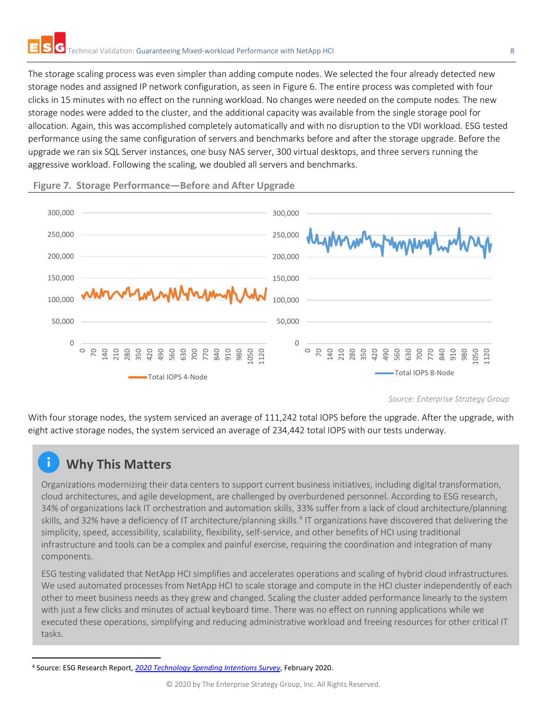The storage scaling process was even simpler than adding compute nodes. We selected the four already detected new storage nodes and assigned IP network configuration, as seen in [Figure 6.](#page-6-1) The entire process was completed with four clicks in 15 minutes with no effect on the running workload. No changes were needed on the compute nodes. The new storage nodes were added to the cluster, and the additional capacity was available from the single storage pool for allocation. Again, this was accomplished completely automatically and with no disruption to the VDI workload. ESG tested performance using the same configuration of servers and benchmarks before and after the storage upgrade. Before the upgrade we ran six SQL Server instances, one busy NAS server, 300 virtual desktops, and three servers running the aggressive workload. Following the scaling, we doubled all servers and benchmarks.



#### **Figure 7. Storage Performance—Before and After Upgrade**

*Source: Enterprise Strategy Group*

With four storage nodes, the system serviced an average of 111,242 total IOPS before the upgrade. After the upgrade, with eight active storage nodes, the system serviced an average of 234,442 total IOPS with our tests underway.

# **Why This Matters**

Organizations modernizing their data centers to support current business initiatives, including digital transformation, cloud architectures, and agile development, are challenged by overburdened personnel. According to ESG research, 34% of organizations lack IT orchestration and automation skills, 33% suffer from a lack of cloud architecture/planning skills, and 32% have a deficiency of IT architecture/planning skills.<sup>4</sup> IT organizations have discovered that delivering the simplicity, speed, accessibility, scalability, flexibility, self-service, and other benefits of HCI using traditional infrastructure and tools can be a complex and painful exercise, requiring the coordination and integration of many components.

ESG testing validated that NetApp HCI simplifies and accelerates operations and scaling of hybrid cloud infrastructures. We used automated processes from NetApp HCI to scale storage and compute in the HCI cluster independently of each other to meet business needs as they grew and changed. Scaling the cluster added performance linearly to the system with just a few clicks and minutes of actual keyboard time. There was no effect on running applications while we executed these operations, simplifying and reducing administrative workload and freeing resources for other critical IT tasks.

<sup>4</sup> Source: ESG Research Report, *[2020 Technology Spending Intentions Survey](https://research.esg-global.com/reportaction/2020TechnologySpendingIntentions/Toc)*, February 2020.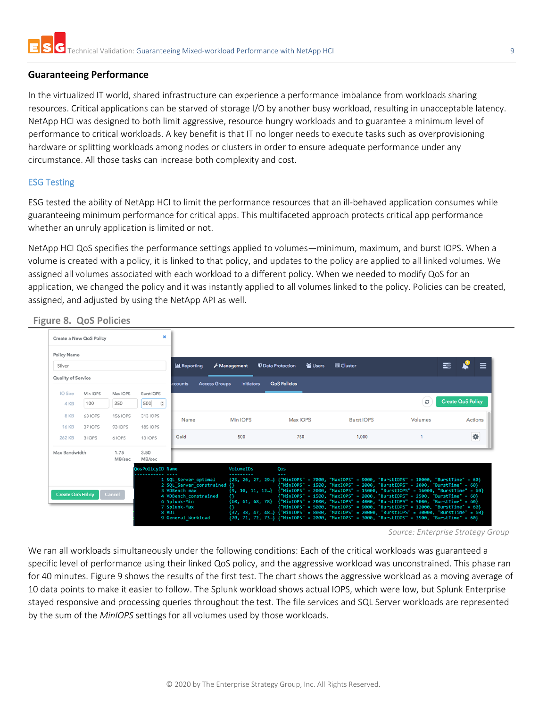#### <span id="page-8-0"></span>**Guaranteeing Performance**

In the virtualized IT world, shared infrastructure can experience a performance imbalance from workloads sharing resources. Critical applications can be starved of storage I/O by another busy workload, resulting in unacceptable latency. NetApp HCI was designed to both limit aggressive, resource hungry workloads and to guarantee a minimum level of performance to critical workloads. A key benefit is that IT no longer needs to execute tasks such as overprovisioning hardware or splitting workloads among nodes or clusters in order to ensure adequate performance under any circumstance. All those tasks can increase both complexity and cost.

#### <span id="page-8-1"></span>ESG Testing

ESG tested the ability of NetApp HCI to limit the performance resources that an ill-behaved application consumes while guaranteeing minimum performance for critical apps. This multifaceted approach protects critical app performance whether an unruly application is limited or not.

NetApp HCI QoS specifies the performance settings applied to volumes—minimum, maximum, and burst IOPS. When a volume is created with a policy, it is linked to that policy, and updates to the policy are applied to all linked volumes. We assigned all volumes associated with each workload to a different policy. When we needed to modify QoS for an application, we changed the policy and it was instantly applied to all volumes linked to the policy. Policies can be created, assigned, and adjusted by using the NetApp API as well.

| Create a New QoS Policy  |                 | $\mathbf x$         |                      |                                                                            |                                                                                                                            |                          |         |                                                                                                                                                                                                                                                                                                                                                                                                                                                                                                                                                                                                                                                                                                                                                 |
|--------------------------|-----------------|---------------------|----------------------|----------------------------------------------------------------------------|----------------------------------------------------------------------------------------------------------------------------|--------------------------|---------|-------------------------------------------------------------------------------------------------------------------------------------------------------------------------------------------------------------------------------------------------------------------------------------------------------------------------------------------------------------------------------------------------------------------------------------------------------------------------------------------------------------------------------------------------------------------------------------------------------------------------------------------------------------------------------------------------------------------------------------------------|
|                          |                 |                     |                      |                                                                            |                                                                                                                            |                          |         |                                                                                                                                                                                                                                                                                                                                                                                                                                                                                                                                                                                                                                                                                                                                                 |
|                          |                 |                     | <b>III</b> Reporting | Management                                                                 | 월 Users                                                                                                                    | 三 Cluster                |         |                                                                                                                                                                                                                                                                                                                                                                                                                                                                                                                                                                                                                                                                                                                                                 |
| Quality of Service       |                 |                     | ccounts              | <b>Initiators</b>                                                          | <b>QoS Policies</b>                                                                                                        |                          |         |                                                                                                                                                                                                                                                                                                                                                                                                                                                                                                                                                                                                                                                                                                                                                 |
| Min IOPS                 | Max IOPS        | <b>Burst IOPS</b>   |                      |                                                                            |                                                                                                                            |                          |         |                                                                                                                                                                                                                                                                                                                                                                                                                                                                                                                                                                                                                                                                                                                                                 |
| 100                      | 250             | 500<br>$\mathbf{G}$ |                      |                                                                            |                                                                                                                            |                          | c       | <b>Create QoS Policy</b>                                                                                                                                                                                                                                                                                                                                                                                                                                                                                                                                                                                                                                                                                                                        |
| <b>63 IOPS</b>           | <b>156 IOPS</b> | 313 IOPS            | Name                 | Min IOPS                                                                   | Max IOPS                                                                                                                   | <b>Burst IOPS</b>        | Volumes | <b>Actions</b>                                                                                                                                                                                                                                                                                                                                                                                                                                                                                                                                                                                                                                                                                                                                  |
| 37 IOPS                  | <b>93 IOPS</b>  | <b>185 IOPS</b>     |                      |                                                                            |                                                                                                                            |                          |         |                                                                                                                                                                                                                                                                                                                                                                                                                                                                                                                                                                                                                                                                                                                                                 |
| 3 IOPS                   | 6 IOPS          | <b>13 IOPS</b>      | Gold                 | 500                                                                        | 750                                                                                                                        | 1,000                    |         | ٠                                                                                                                                                                                                                                                                                                                                                                                                                                                                                                                                                                                                                                                                                                                                               |
| Max Bandwidth            | 1.75<br>MB/sec  | 3.50<br>MB/sec      |                      |                                                                            |                                                                                                                            |                          |         |                                                                                                                                                                                                                                                                                                                                                                                                                                                                                                                                                                                                                                                                                                                                                 |
|                          |                 |                     |                      | VolumeIDs                                                                  | Qos                                                                                                                        |                          |         |                                                                                                                                                                                                                                                                                                                                                                                                                                                                                                                                                                                                                                                                                                                                                 |
| <b>Create QoS Policy</b> |                 |                     |                      |                                                                            |                                                                                                                            |                          |         |                                                                                                                                                                                                                                                                                                                                                                                                                                                                                                                                                                                                                                                                                                                                                 |
|                          |                 | Cancel              |                      | QosPolicyID Name<br>3 VDBench max<br>6 Splunk-Min<br>7 Splunk-Max<br>8 VDI | <b>Access Groups</b><br>1 SQL Server optimal<br>2 SQL_Server_constrained {}<br>4 VDBench constrained<br>9 General Workload | <b>U</b> Data Protection |         | 〓<br>{25, 26, 27, 29} {"MinIOPS" = 7000, "MaxIOPS" = 9000, "BurstIOPS" = 10000, "BurstTime" = 60}<br>("MinIOPS" = 1500, "MaxIOPS" = 2000, "BurstIOPS" = 2000, "BurstTime" = 60}<br>$\{9, 10, 11, 12\}$ {"MinIOPS" = 2000, "MaxIOPS" = 15000, "BurstIOPS" = 16000, "BurstTime" = 60}<br>["MinIOPS" = 1500. "MaxIOPS" = 2000. "BurstIOPS" = 2500. "BurstTime" = 60}<br>(60, 61, 68, 78} {"MinIOPS" = 2000, "MaxIOPS" = 4000, "BurstIOPS" = 5000, "BurstIime" = 60}<br>["MinIOPS" = 5000, "MaxIOPS" = 9000, "BurstIOPS" = 12000, "BurstTime" = 60}<br>{37, 38, 47, 48} {"MinIOPS" = 8000, "MaxIOPS" = 20000, "BurstIOPS" = 30000, "BurstTime" = 60}<br>{70, 71, 72, 73} {"MinIOPS" = 2000, "MaxIOPS" = 3000, "BurstIOPS" = 3500, "BurstIime" = 60} |

**Figure 8. QoS Policies**

We ran all workloads simultaneously under the following conditions: Each of the critical workloads was guaranteed a specific level of performance using their linked QoS policy, and the aggressive workload was unconstrained. This phase ran for 40 minutes. [Figure 9](#page-9-0) shows the results of the first test. The chart shows the aggressive workload as a moving average of 10 data points to make it easier to follow. The Splunk workload shows actual IOPS, which were low, but Splunk Enterprise stayed responsive and processing queries throughout the test. The file services and SQL Server workloads are represented by the sum of the *MinIOPS* settings for all volumes used by those workloads.

*Source: Enterprise Strategy Group*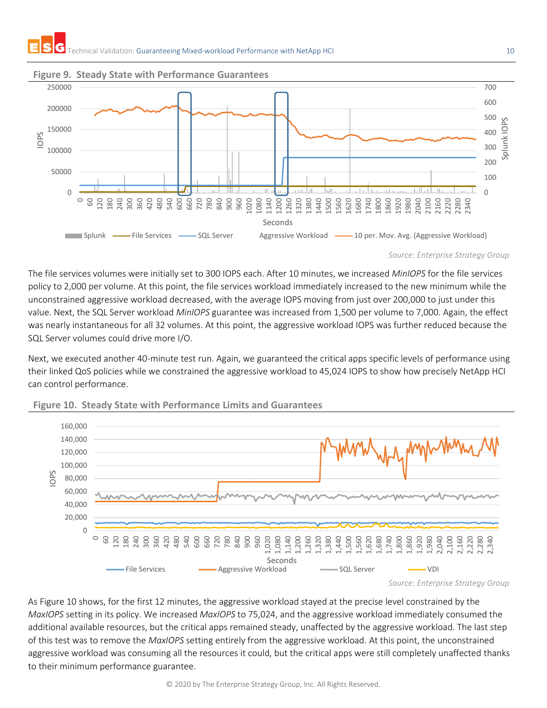

#### <span id="page-9-0"></span>**Figure 9. Steady State with Performance Guarantees**



The file services volumes were initially set to 300 IOPS each. After 10 minutes, we increased *MinIOPS* for the file services policy to 2,000 per volume. At this point, the file services workload immediately increased to the new minimum while the unconstrained aggressive workload decreased, with the average IOPS moving from just over 200,000 to just under this value. Next, the SQL Server workload *MinIOPS* guarantee was increased from 1,500 per volume to 7,000. Again, the effect was nearly instantaneous for all 32 volumes. At this point, the aggressive workload IOPS was further reduced because the SQL Server volumes could drive more I/O.

Next, we executed another 40-minute test run. Again, we guaranteed the critical apps specific levels of performance using their linked QoS policies while we constrained the aggressive workload to 45,024 IOPS to show how precisely NetApp HCI can control performance.



<span id="page-9-1"></span>**Figure 10. Steady State with Performance Limits and Guarantees**

As [Figure 10](#page-9-1) shows, for the first 12 minutes, the aggressive workload stayed at the precise level constrained by the *MaxIOPS* setting in its policy. We increased *MaxIOPS* to 75,024, and the aggressive workload immediately consumed the additional available resources, but the critical apps remained steady, unaffected by the aggressive workload. The last step of this test was to remove the *MaxIOPS* setting entirely from the aggressive workload. At this point, the unconstrained aggressive workload was consuming all the resources it could, but the critical apps were still completely unaffected thanks to their minimum performance guarantee.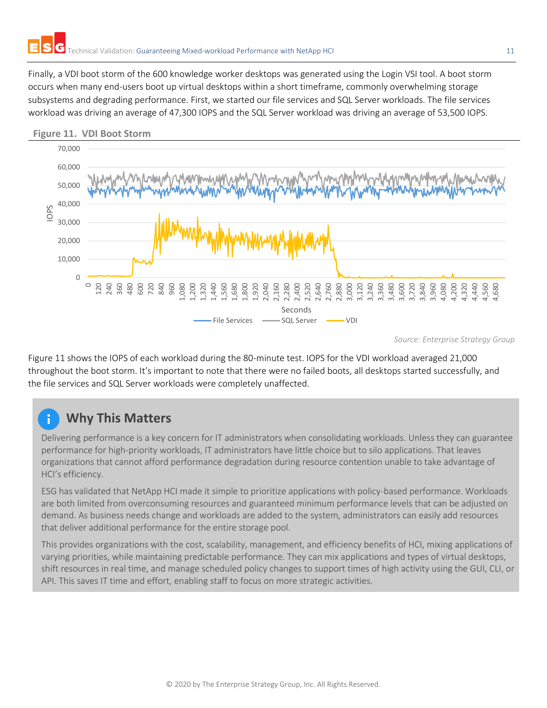Finally, a VDI boot storm of the 600 knowledge worker desktops was generated using the Login VSI tool. A boot storm occurs when many end-users boot up virtual desktops within a short timeframe, commonly overwhelming storage subsystems and degrading performance. First, we started our file services and SQL Server workloads. The file services workload was driving an average of 47,300 IOPS and the SQL Server workload was driving an average of 53,500 IOPS.



<span id="page-10-0"></span>**Figure 11. VDI Boot Storm**

*Source: Enterprise Strategy Group*

[Figure 11](#page-10-0) shows the IOPS of each workload during the 80-minute test. IOPS for the VDI workload averaged 21,000 throughout the boot storm. It's important to note that there were no failed boots, all desktops started successfully, and the file services and SQL Server workloads were completely unaffected.

# **Why This Matters**

Delivering performance is a key concern for IT administrators when consolidating workloads. Unless they can guarantee performance for high-priority workloads, IT administrators have little choice but to silo applications. That leaves organizations that cannot afford performance degradation during resource contention unable to take advantage of HCI's efficiency.

ESG has validated that NetApp HCI made it simple to prioritize applications with policy-based performance. Workloads are both limited from overconsuming resources and guaranteed minimum performance levels that can be adjusted on demand. As business needs change and workloads are added to the system, administrators can easily add resources that deliver additional performance for the entire storage pool.

This provides organizations with the cost, scalability, management, and efficiency benefits of HCI, mixing applications of varying priorities, while maintaining predictable performance. They can mix applications and types of virtual desktops, shift resources in real time, and manage scheduled policy changes to support times of high activity using the GUI, CLI, or API. This saves IT time and effort, enabling staff to focus on more strategic activities.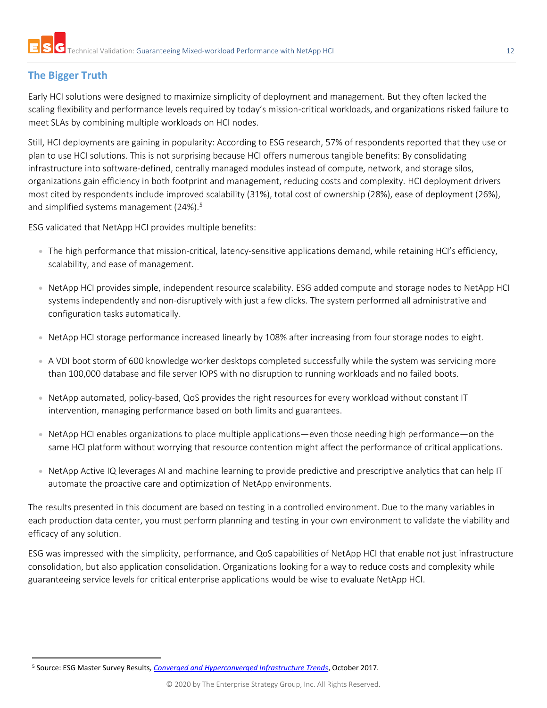# <span id="page-11-0"></span>**The Bigger Truth**

Early HCI solutions were designed to maximize simplicity of deployment and management. But they often lacked the scaling flexibility and performance levels required by today's mission-critical workloads, and organizations risked failure to meet SLAs by combining multiple workloads on HCI nodes.

Still, HCI deployments are gaining in popularity: According to ESG research, 57% of respondents reported that they use or plan to use HCI solutions. This is not surprising because HCI offers numerous tangible benefits: By consolidating infrastructure into software-defined, centrally managed modules instead of compute, network, and storage silos, organizations gain efficiency in both footprint and management, reducing costs and complexity. HCI deployment drivers most cited by respondents include improved scalability (31%), total cost of ownership (28%), ease of deployment (26%), and simplified systems management (24%).<sup>5</sup>

ESG validated that NetApp HCI provides multiple benefits:

- The high performance that mission-critical, latency-sensitive applications demand, while retaining HCI's efficiency, scalability, and ease of management.
- NetApp HCI provides simple, independent resource scalability. ESG added compute and storage nodes to NetApp HCI systems independently and non-disruptively with just a few clicks. The system performed all administrative and configuration tasks automatically.
- NetApp HCI storage performance increased linearly by 108% after increasing from four storage nodes to eight.
- A VDI boot storm of 600 knowledge worker desktops completed successfully while the system was servicing more than 100,000 database and file server IOPS with no disruption to running workloads and no failed boots.
- NetApp automated, policy-based, QoS provides the right resources for every workload without constant IT intervention, managing performance based on both limits and guarantees.
- NetApp HCI enables organizations to place multiple applications—even those needing high performance—on the same HCI platform without worrying that resource contention might affect the performance of critical applications.
- NetApp Active IQ leverages AI and machine learning to provide predictive and prescriptive analytics that can help IT automate the proactive care and optimization of NetApp environments.

The results presented in this document are based on testing in a controlled environment. Due to the many variables in each production data center, you must perform planning and testing in your own environment to validate the viability and efficacy of any solution.

ESG was impressed with the simplicity, performance, and QoS capabilities of NetApp HCI that enable not just infrastructure consolidation, but also application consolidation. Organizations looking for a way to reduce costs and complexity while guaranteeing service levels for critical enterprise applications would be wise to evaluate NetApp HCI.

<sup>5</sup> Source: ESG Master Survey Results*[, Converged and Hyperconverged Infrastructure Trends](https://research.esg-global.com/reportaction/convergedhyperconvergedtrends/Toc)*, October 2017.